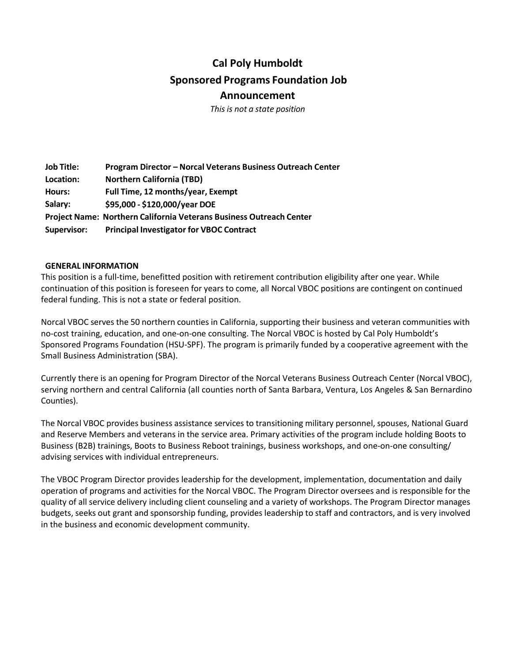# **Cal Poly Humboldt Sponsored Programs Foundation Job Announcement**

*This is not a state position*

**Job Title: Location: Hours: Salary: Program Director – Norcal Veterans Business Outreach Center Northern California (TBD) Full Time, 12 months/year, Exempt \$95,000 ‐ \$120,000/year DOE Project Name: Northern California Veterans Business Outreach Center Supervisor: Principal Investigator for VBOC Contract**

#### **GENERAL INFORMATION**

This position is a full‐time, benefitted position with retirement contribution eligibility after one year. While continuation of this position is foreseen for years to come, all Norcal VBOC positions are contingent on continued federal funding. This is not a state or federal position.

Norcal VBOC serves the 50 northern counties in California, supporting their business and veteran communities with no-cost training, education, and one-on-one consulting. The Norcal VBOC is hosted by Cal Poly Humboldt's Sponsored Programs Foundation (HSU‐SPF). The program is primarily funded by a cooperative agreement with the Small Business Administration (SBA).

Currently there is an opening for Program Director of the Norcal Veterans Business Outreach Center (Norcal VBOC), serving northern and central California (all counties north of Santa Barbara, Ventura, Los Angeles & San Bernardino Counties).

The Norcal VBOC provides business assistance services to transitioning military personnel, spouses, National Guard and Reserve Members and veterans in the service area. Primary activities of the program include holding Boots to Business (B2B) trainings, Boots to Business Reboot trainings, business workshops, and one‐on‐one consulting/ advising services with individual entrepreneurs.

The VBOC Program Director provides leadership for the development, implementation, documentation and daily operation of programs and activities for the Norcal VBOC. The Program Director oversees and is responsible for the quality of all service delivery including client counseling and a variety of workshops. The Program Director manages budgets, seeks out grant and sponsorship funding, provides leadership to staff and contractors, and is very involved in the business and economic development community.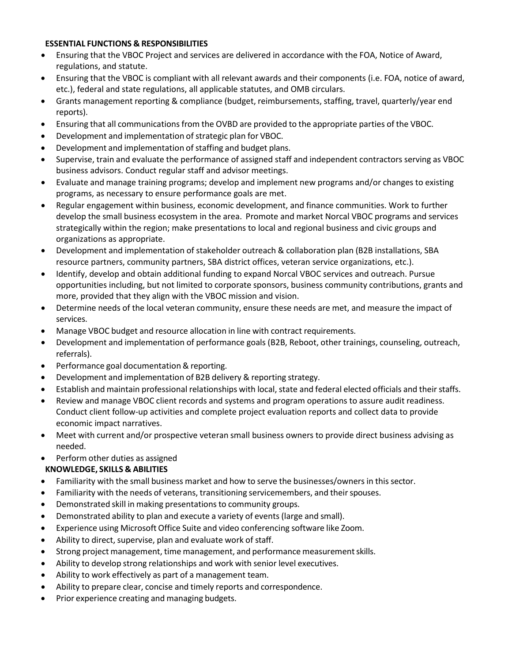#### **ESSENTIAL FUNCTIONS & RESPONSIBILITIES**

- Ensuring that the VBOC Project and services are delivered in accordance with the FOA, Notice of Award, regulations, and statute.
- Ensuring that the VBOC is compliant with all relevant awards and their components (i.e. FOA, notice of award, etc.), federal and state regulations, all applicable statutes, and OMB circulars.
- Grants management reporting & compliance (budget, reimbursements, staffing, travel, quarterly/year end reports).
- Ensuring that all communications from the OVBD are provided to the appropriate parties of the VBOC.
- Development and implementation of strategic plan for VBOC.
- Development and implementation of staffing and budget plans.
- Supervise, train and evaluate the performance of assigned staff and independent contractors serving as VBOC business advisors. Conduct regular staff and advisor meetings.
- Evaluate and manage training programs; develop and implement new programs and/or changes to existing programs, as necessary to ensure performance goals are met.
- Regular engagement within business, economic development, and finance communities. Work to further develop the small business ecosystem in the area. Promote and market Norcal VBOC programs and services strategically within the region; make presentations to local and regional business and civic groups and organizations as appropriate.
- Development and implementation of stakeholder outreach & collaboration plan (B2B installations, SBA resource partners, community partners, SBA district offices, veteran service organizations, etc.).
- Identify, develop and obtain additional funding to expand Norcal VBOC services and outreach. Pursue opportunities including, but not limited to corporate sponsors, business community contributions, grants and more, provided that they align with the VBOC mission and vision.
- Determine needs of the local veteran community, ensure these needs are met, and measure the impact of services.
- Manage VBOC budget and resource allocation in line with contract requirements.
- Development and implementation of performance goals (B2B, Reboot, other trainings, counseling, outreach, referrals).
- Performance goal documentation & reporting.
- Development and implementation of B2B delivery & reporting strategy.
- Establish and maintain professional relationships with local, state and federal elected officials and their staffs.
- Review and manage VBOC client records and systems and program operations to assure audit readiness. Conduct client follow‐up activities and complete project evaluation reports and collect data to provide economic impact narratives.
- Meet with current and/or prospective veteran small business owners to provide direct business advising as needed.
- Perform other duties as assigned

## **KNOWLEDGE, SKILLS & ABILITIES**

- Familiarity with the small business market and how to serve the businesses/owners in this sector.
- Familiarity with the needs of veterans, transitioning servicemembers, and their spouses.
- Demonstrated skill in making presentations to community groups.
- Demonstrated ability to plan and execute a variety of events (large and small).
- Experience using Microsoft Office Suite and video conferencing software like Zoom.
- Ability to direct, supervise, plan and evaluate work of staff.
- Strong project management, time management, and performance measurementskills.
- Ability to develop strong relationships and work with senior level executives.
- Ability to work effectively as part of a management team.
- Ability to prepare clear, concise and timely reports and correspondence.
- Prior experience creating and managing budgets.